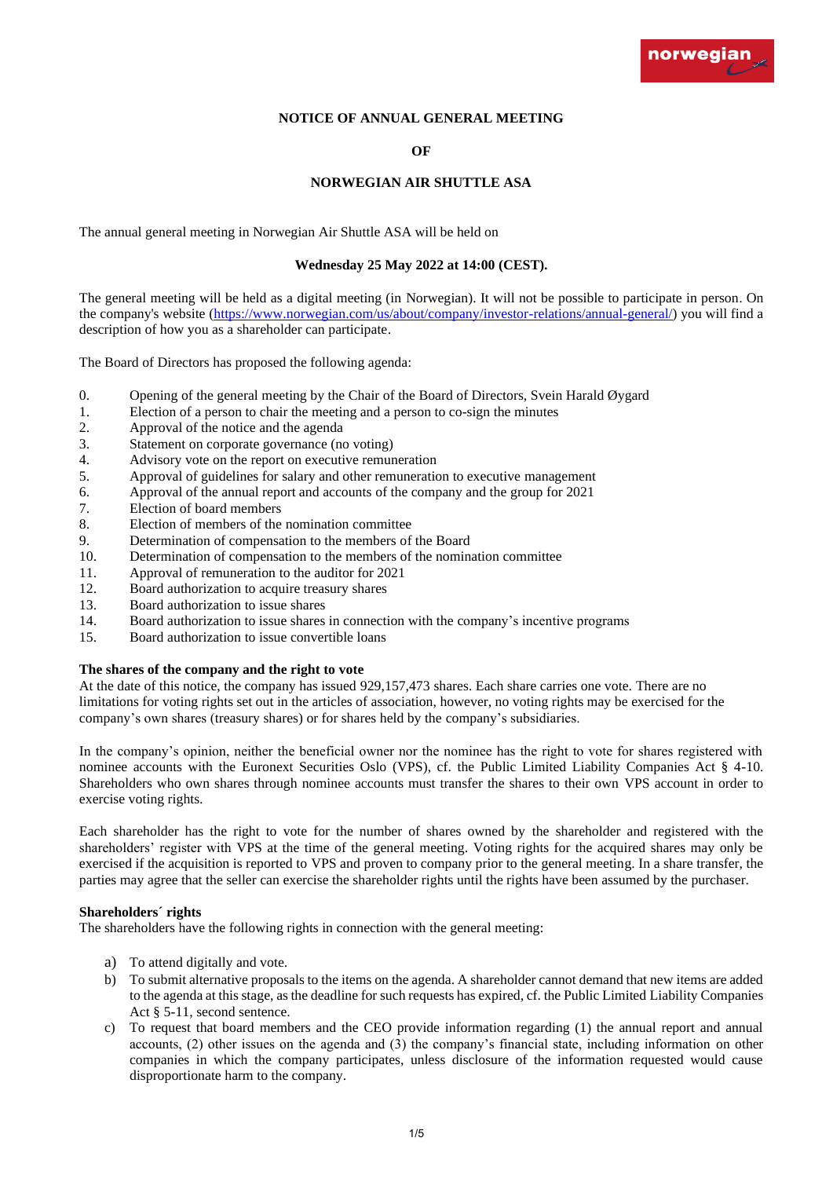

## **NOTICE OF ANNUAL GENERAL MEETING**

# **OF**

## **NORWEGIAN AIR SHUTTLE ASA**

The annual general meeting in Norwegian Air Shuttle ASA will be held on

#### **Wednesday 25 May 2022 at 14:00 (CEST).**

The general meeting will be held as a digital meeting (in Norwegian). It will not be possible to participate in person. On the company's website [\(https://www.norwegian.com/us/about/company/investor-relations/annual-general/\)](https://www.norwegian.com/us/about/company/investor-relations/annual-general/) you will find a description of how you as a shareholder can participate.

The Board of Directors has proposed the following agenda:

- 0. Opening of the general meeting by the Chair of the Board of Directors, Svein Harald Øygard
- 1. Election of a person to chair the meeting and a person to co-sign the minutes
- 2. Approval of the notice and the agenda
- 3. Statement on corporate governance (no voting)
- 4. Advisory vote on the report on executive remuneration
- 5. Approval of guidelines for salary and other remuneration to executive management
- 6. Approval of the annual report and accounts of the company and the group for 2021
- 7. Election of board members
- 8. Election of members of the nomination committee
- 9. Determination of compensation to the members of the Board
- 10. Determination of compensation to the members of the nomination committee
- 11. Approval of remuneration to the auditor for 2021
- 12. Board authorization to acquire treasury shares
- 13. Board authorization to issue shares
- 14. Board authorization to issue shares in connection with the company's incentive programs
- 15. Board authorization to issue convertible loans

### **The shares of the company and the right to vote**

At the date of this notice, the company has issued 929,157,473 shares. Each share carries one vote. There are no limitations for voting rights set out in the articles of association, however, no voting rights may be exercised for the company's own shares (treasury shares) or for shares held by the company's subsidiaries.

In the company's opinion, neither the beneficial owner nor the nominee has the right to vote for shares registered with nominee accounts with the Euronext Securities Oslo (VPS), cf. the Public Limited Liability Companies Act § 4-10. Shareholders who own shares through nominee accounts must transfer the shares to their own VPS account in order to exercise voting rights.

Each shareholder has the right to vote for the number of shares owned by the shareholder and registered with the shareholders' register with VPS at the time of the general meeting. Voting rights for the acquired shares may only be exercised if the acquisition is reported to VPS and proven to company prior to the general meeting. In a share transfer, the parties may agree that the seller can exercise the shareholder rights until the rights have been assumed by the purchaser.

## **Shareholders´ rights**

The shareholders have the following rights in connection with the general meeting:

- a) To attend digitally and vote.
- b) To submit alternative proposals to the items on the agenda. A shareholder cannot demand that new items are added to the agenda at this stage, as the deadline for such requests has expired, cf. the Public Limited Liability Companies Act § 5-11, second sentence.
- c) To request that board members and the CEO provide information regarding (1) the annual report and annual accounts, (2) other issues on the agenda and (3) the company's financial state, including information on other companies in which the company participates, unless disclosure of the information requested would cause disproportionate harm to the company.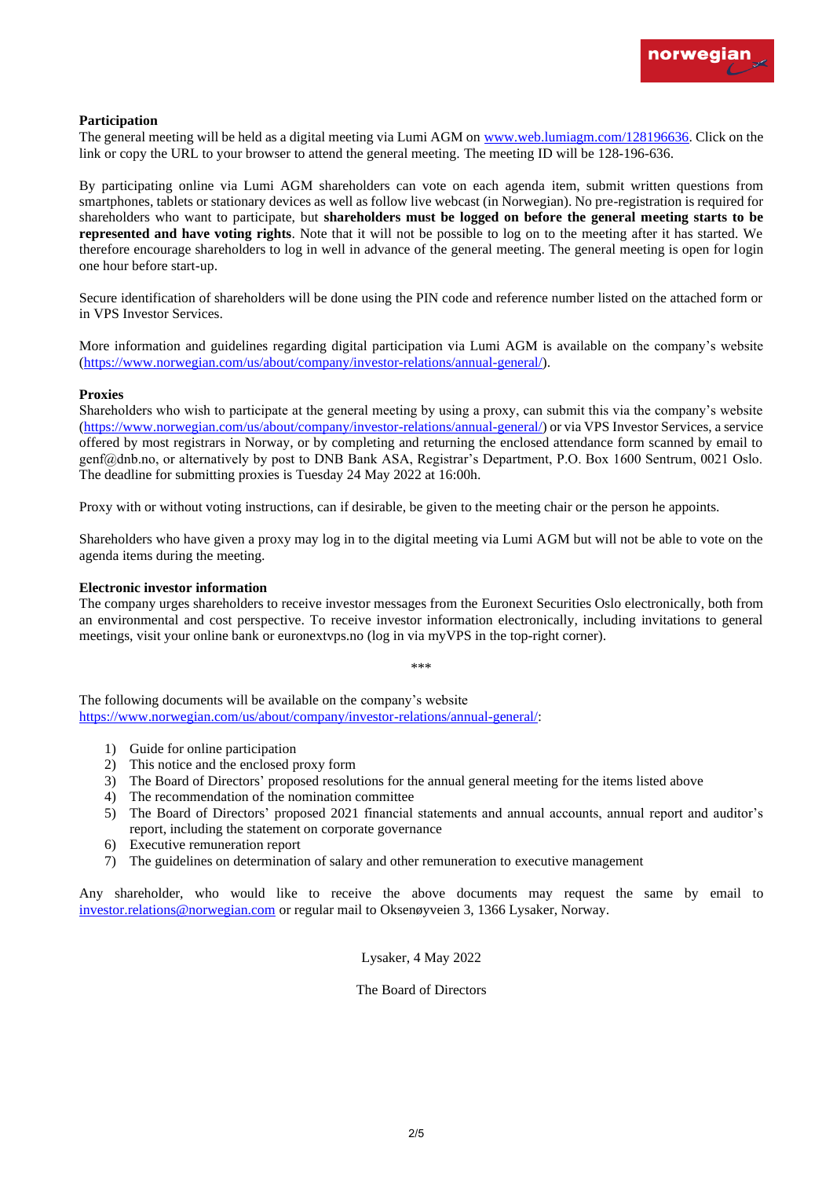

## **Participation**

The general meeting will be held as a digital meeting via Lumi AGM on [www.web.lumiagm.com/128196636.](http://www.web.lumiagm.com/128196636) Click on the link or copy the URL to your browser to attend the general meeting. The meeting ID will be 128-196-636.

By participating online via Lumi AGM shareholders can vote on each agenda item, submit written questions from smartphones, tablets or stationary devices as well as follow live webcast (in Norwegian). No pre-registration is required for shareholders who want to participate, but **shareholders must be logged on before the general meeting starts to be represented and have voting rights**. Note that it will not be possible to log on to the meeting after it has started. We therefore encourage shareholders to log in well in advance of the general meeting. The general meeting is open for login one hour before start-up.

Secure identification of shareholders will be done using the PIN code and reference number listed on the attached form or in VPS Investor Services.

More information and guidelines regarding digital participation via Lumi AGM is available on the company's website [\(https://www.norwegian.com/us/about/company/investor-relations/annual-general/\)](https://www.norwegian.com/us/about/company/investor-relations/annual-general/).

### **Proxies**

Shareholders who wish to participate at the general meeting by using a proxy, can submit this via the company's website [\(https://www.norwegian.com/us/about/company/investor-relations/annual-general/\)](https://www.norwegian.com/us/about/company/investor-relations/annual-general/) or via VPS Investor Services, a service offered by most registrars in Norway, or by completing and returning the enclosed attendance form scanned by email to genf@dnb.no, or alternatively by post to DNB Bank ASA, Registrar's Department, P.O. Box 1600 Sentrum, 0021 Oslo. The deadline for submitting proxies is Tuesday 24 May 2022 at 16:00h.

Proxy with or without voting instructions, can if desirable, be given to the meeting chair or the person he appoints.

Shareholders who have given a proxy may log in to the digital meeting via Lumi AGM but will not be able to vote on the agenda items during the meeting.

#### **Electronic investor information**

The company urges shareholders to receive investor messages from the Euronext Securities Oslo electronically, both from an environmental and cost perspective. To receive investor information electronically, including invitations to general meetings, visit your online bank or euronextvps.no (log in via myVPS in the top-right corner).

\*\*\*

The following documents will be available on the company's website [https://www.norwegian.com/us/about/company/investor-relations/annual-general/:](https://www.norwegian.com/us/about/company/investor-relations/annual-general/)

- 1) Guide for online participation
- 2) This notice and the enclosed proxy form
- 3) The Board of Directors' proposed resolutions for the annual general meeting for the items listed above
- 4) The recommendation of the nomination committee
- 5) The Board of Directors' proposed 2021 financial statements and annual accounts, annual report and auditor's report, including the statement on corporate governance
- 6) Executive remuneration report
- 7) The guidelines on determination of salary and other remuneration to executive management

Any shareholder, who would like to receive the above documents may request the same by email to [investor.relations@norwegian.com](mailto:investor.relations@norwegian.com) or regular mail to Oksenøyveien 3, 1366 Lysaker, Norway.

Lysaker, 4 May 2022

The Board of Directors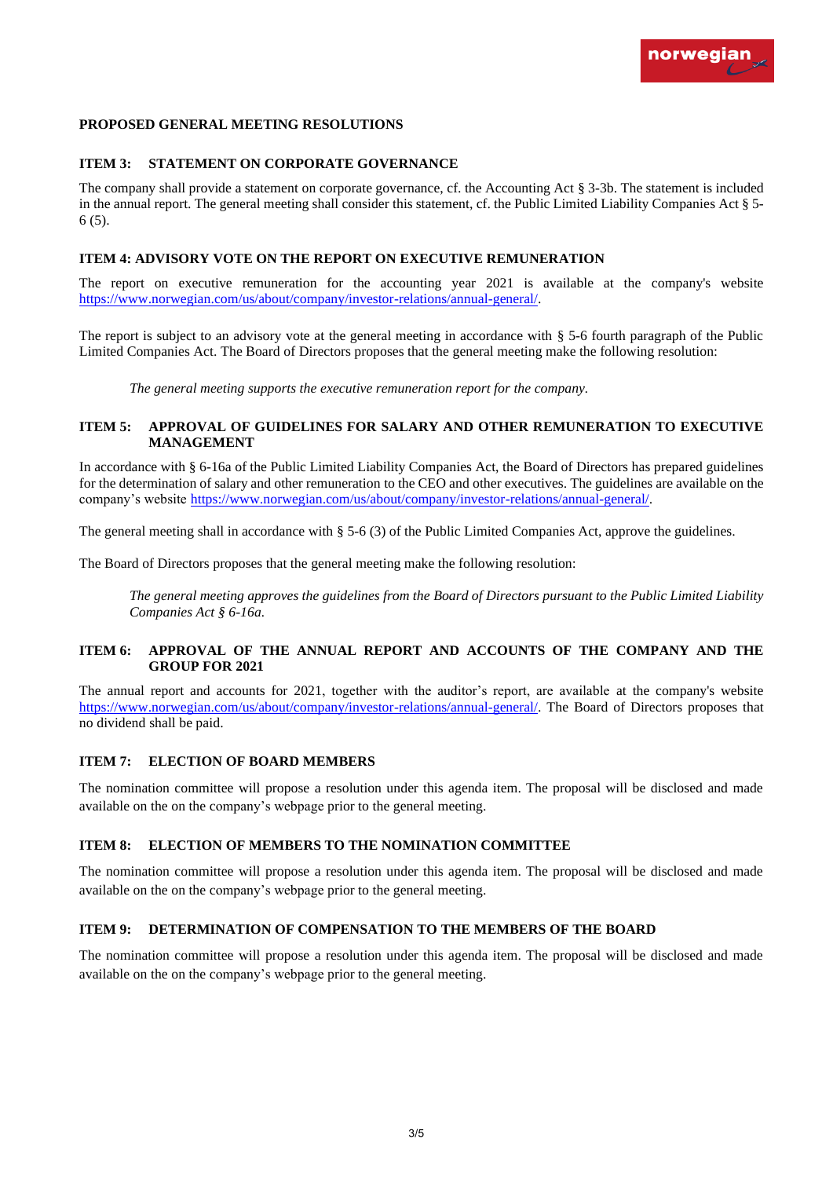## **PROPOSED GENERAL MEETING RESOLUTIONS**

# **ITEM 3: STATEMENT ON CORPORATE GOVERNANCE**

The company shall provide a statement on corporate governance, cf. the Accounting Act § 3-3b. The statement is included in the annual report. The general meeting shall consider this statement, cf. the Public Limited Liability Companies Act § 5- 6 (5).

## **ITEM 4: ADVISORY VOTE ON THE REPORT ON EXECUTIVE REMUNERATION**

The report on executive remuneration for the accounting year 2021 is available at the company's website [https://www.norwegian.com/us/about/company/investor-relations/annual-general/.](https://www.norwegian.com/us/about/company/investor-relations/annual-general/)

The report is subject to an advisory vote at the general meeting in accordance with § 5-6 fourth paragraph of the Public Limited Companies Act. The Board of Directors proposes that the general meeting make the following resolution:

*The general meeting supports the executive remuneration report for the company.*

## **ITEM 5: APPROVAL OF GUIDELINES FOR SALARY AND OTHER REMUNERATION TO EXECUTIVE MANAGEMENT**

In accordance with § 6-16a of the Public Limited Liability Companies Act, the Board of Directors has prepared guidelines for the determination of salary and other remuneration to the CEO and other executives. The guidelines are available on the company's website [https://www.norwegian.com/us/about/company/investor-relations/annual-general/.](https://www.norwegian.com/us/about/company/investor-relations/annual-general/)

The general meeting shall in accordance with § 5-6 (3) of the Public Limited Companies Act, approve the guidelines.

The Board of Directors proposes that the general meeting make the following resolution:

*The general meeting approves the guidelines from the Board of Directors pursuant to the Public Limited Liability Companies Act § 6-16a.*

# **ITEM 6: APPROVAL OF THE ANNUAL REPORT AND ACCOUNTS OF THE COMPANY AND THE GROUP FOR 2021**

The annual report and accounts for 2021, together with the auditor's report, are available at the company's website [https://www.norwegian.com/us/about/company/investor-relations/annual-general/.](https://www.norwegian.com/us/about/company/investor-relations/annual-general/) The Board of Directors proposes that no dividend shall be paid.

### **ITEM 7: ELECTION OF BOARD MEMBERS**

The nomination committee will propose a resolution under this agenda item. The proposal will be disclosed and made available on the on the company's webpage prior to the general meeting.

### **ITEM 8: ELECTION OF MEMBERS TO THE NOMINATION COMMITTEE**

The nomination committee will propose a resolution under this agenda item. The proposal will be disclosed and made available on the on the company's webpage prior to the general meeting.

# **ITEM 9: DETERMINATION OF COMPENSATION TO THE MEMBERS OF THE BOARD**

The nomination committee will propose a resolution under this agenda item. The proposal will be disclosed and made available on the on the company's webpage prior to the general meeting.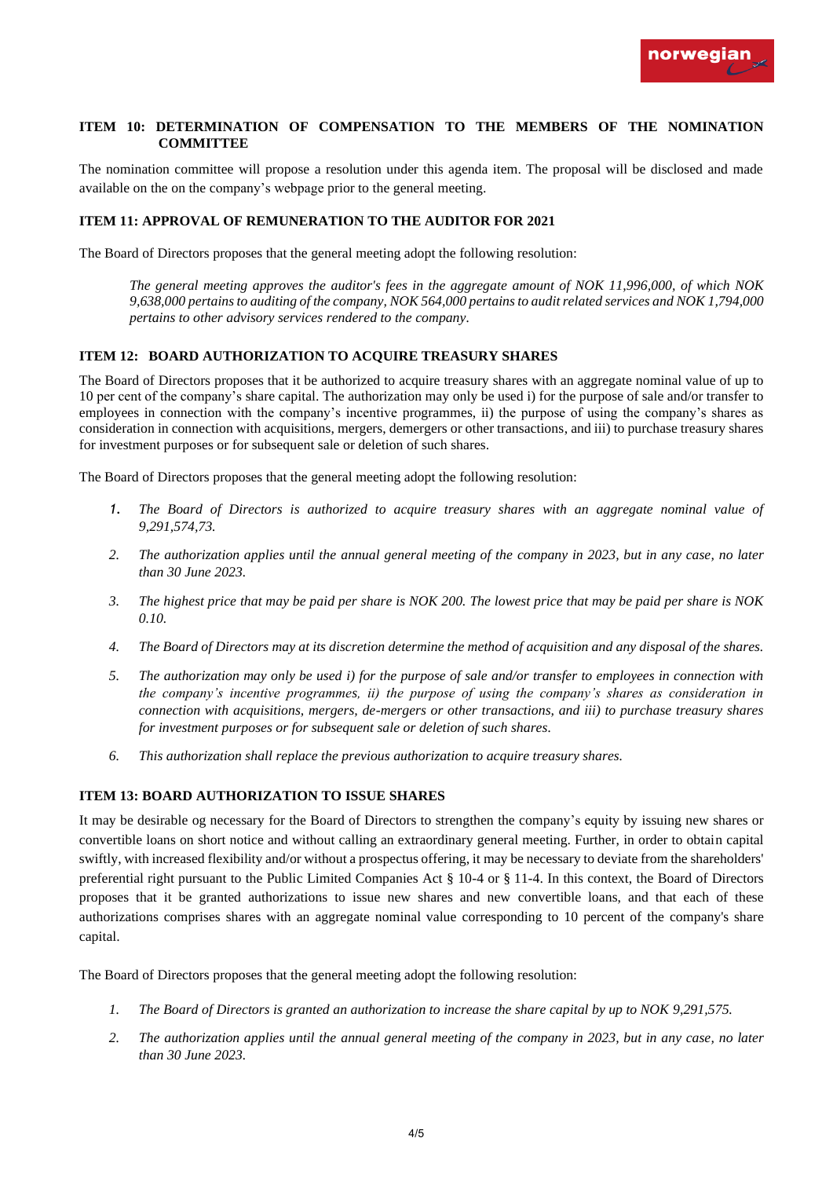

## **ITEM 10: DETERMINATION OF COMPENSATION TO THE MEMBERS OF THE NOMINATION COMMITTEE**

The nomination committee will propose a resolution under this agenda item. The proposal will be disclosed and made available on the on the company's webpage prior to the general meeting.

# **ITEM 11: APPROVAL OF REMUNERATION TO THE AUDITOR FOR 2021**

The Board of Directors proposes that the general meeting adopt the following resolution:

*The general meeting approves the auditor's fees in the aggregate amount of NOK 11,996,000, of which NOK 9,638,000 pertains to auditing of the company, NOK 564,000 pertains to audit related services and NOK 1,794,000 pertains to other advisory services rendered to the company.* 

## **ITEM 12: BOARD AUTHORIZATION TO ACQUIRE TREASURY SHARES**

The Board of Directors proposes that it be authorized to acquire treasury shares with an aggregate nominal value of up to 10 per cent of the company's share capital. The authorization may only be used i) for the purpose of sale and/or transfer to employees in connection with the company's incentive programmes, ii) the purpose of using the company's shares as consideration in connection with acquisitions, mergers, demergers or other transactions, and iii) to purchase treasury shares for investment purposes or for subsequent sale or deletion of such shares.

The Board of Directors proposes that the general meeting adopt the following resolution:

- *1. The Board of Directors is authorized to acquire treasury shares with an aggregate nominal value of 9,291,574,73.*
- *2. The authorization applies until the annual general meeting of the company in 2023, but in any case, no later than 30 June 2023.*
- *3. The highest price that may be paid per share is NOK 200. The lowest price that may be paid per share is NOK 0.10.*
- *4. The Board of Directors may at its discretion determine the method of acquisition and any disposal of the shares.*
- *5. The authorization may only be used i) for the purpose of sale and/or transfer to employees in connection with the company's incentive programmes, ii) the purpose of using the company's shares as consideration in connection with acquisitions, mergers, de-mergers or other transactions, and iii) to purchase treasury shares for investment purposes or for subsequent sale or deletion of such shares.*
- *6. This authorization shall replace the previous authorization to acquire treasury shares.*

## **ITEM 13: BOARD AUTHORIZATION TO ISSUE SHARES**

It may be desirable og necessary for the Board of Directors to strengthen the company's equity by issuing new shares or convertible loans on short notice and without calling an extraordinary general meeting. Further, in order to obtain capital swiftly, with increased flexibility and/or without a prospectus offering, it may be necessary to deviate from the shareholders' preferential right pursuant to the Public Limited Companies Act § 10-4 or § 11-4. In this context, the Board of Directors proposes that it be granted authorizations to issue new shares and new convertible loans, and that each of these authorizations comprises shares with an aggregate nominal value corresponding to 10 percent of the company's share capital.

The Board of Directors proposes that the general meeting adopt the following resolution:

- *1. The Board of Directors is granted an authorization to increase the share capital by up to NOK 9,291,575.*
- *2. The authorization applies until the annual general meeting of the company in 2023, but in any case, no later than 30 June 2023.*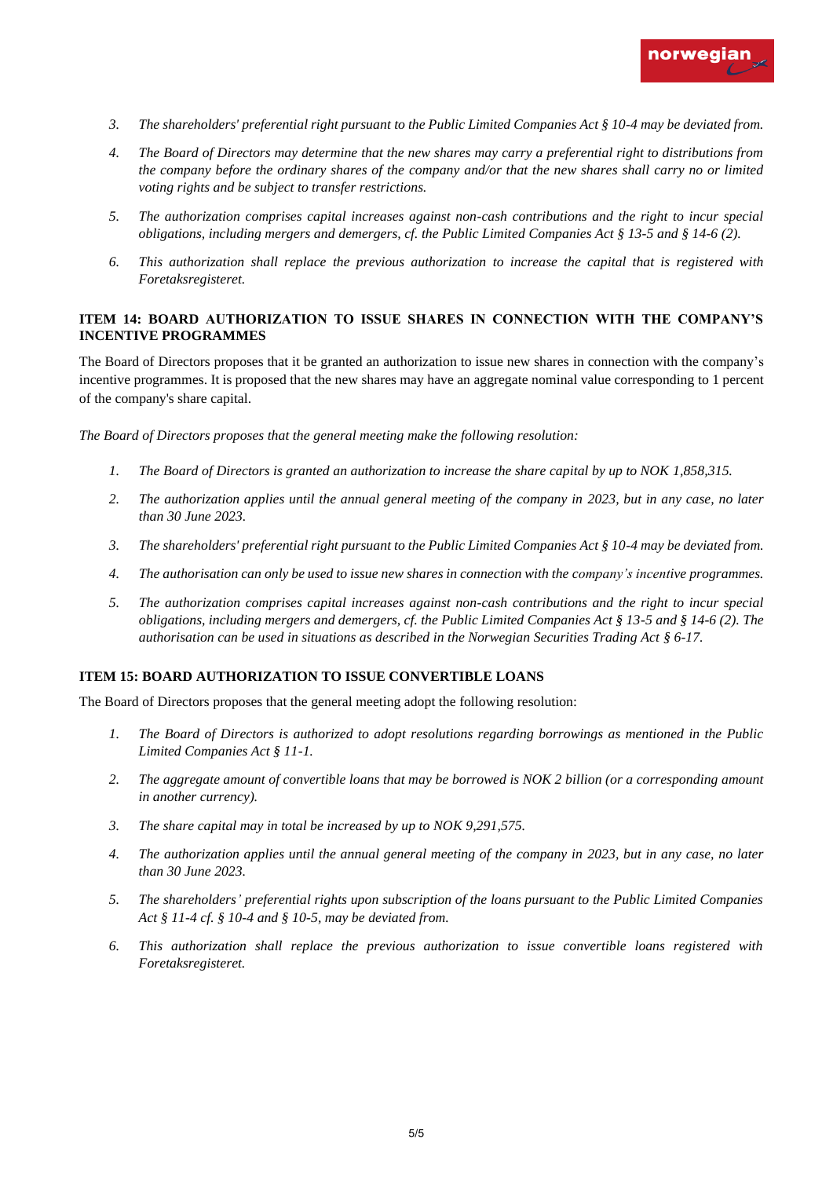

- *3. The shareholders' preferential right pursuant to the Public Limited Companies Act § 10-4 may be deviated from.*
- *4. The Board of Directors may determine that the new shares may carry a preferential right to distributions from the company before the ordinary shares of the company and/or that the new shares shall carry no or limited voting rights and be subject to transfer restrictions.*
- *5. The authorization comprises capital increases against non-cash contributions and the right to incur special obligations, including mergers and demergers, cf. the Public Limited Companies Act § 13-5 and § 14-6 (2).*
- *6. This authorization shall replace the previous authorization to increase the capital that is registered with Foretaksregisteret.*

# **ITEM 14: BOARD AUTHORIZATION TO ISSUE SHARES IN CONNECTION WITH THE COMPANY'S INCENTIVE PROGRAMMES**

The Board of Directors proposes that it be granted an authorization to issue new shares in connection with the company's incentive programmes. It is proposed that the new shares may have an aggregate nominal value corresponding to 1 percent of the company's share capital.

*The Board of Directors proposes that the general meeting make the following resolution:* 

- *1. The Board of Directors is granted an authorization to increase the share capital by up to NOK 1,858,315.*
- *2. The authorization applies until the annual general meeting of the company in 2023, but in any case, no later than 30 June 2023.*
- *3. The shareholders' preferential right pursuant to the Public Limited Companies Act § 10-4 may be deviated from.*
- *4. The authorisation can only be used to issue new shares in connection with the company's incentive programmes.*
- *5. The authorization comprises capital increases against non-cash contributions and the right to incur special obligations, including mergers and demergers, cf. the Public Limited Companies Act § 13-5 and § 14-6 (2). The authorisation can be used in situations as described in the Norwegian Securities Trading Act § 6-17.*

### **ITEM 15: BOARD AUTHORIZATION TO ISSUE CONVERTIBLE LOANS**

The Board of Directors proposes that the general meeting adopt the following resolution:

- *1. The Board of Directors is authorized to adopt resolutions regarding borrowings as mentioned in the Public Limited Companies Act § 11-1.*
- *2. The aggregate amount of convertible loans that may be borrowed is NOK 2 billion (or a corresponding amount in another currency).*
- *3. The share capital may in total be increased by up to NOK 9,291,575.*
- *4. The authorization applies until the annual general meeting of the company in 2023, but in any case, no later than 30 June 2023.*
- *5. The shareholders' preferential rights upon subscription of the loans pursuant to the Public Limited Companies Act § 11-4 cf. § 10-4 and § 10-5, may be deviated from.*
- *6. This authorization shall replace the previous authorization to issue convertible loans registered with Foretaksregisteret.*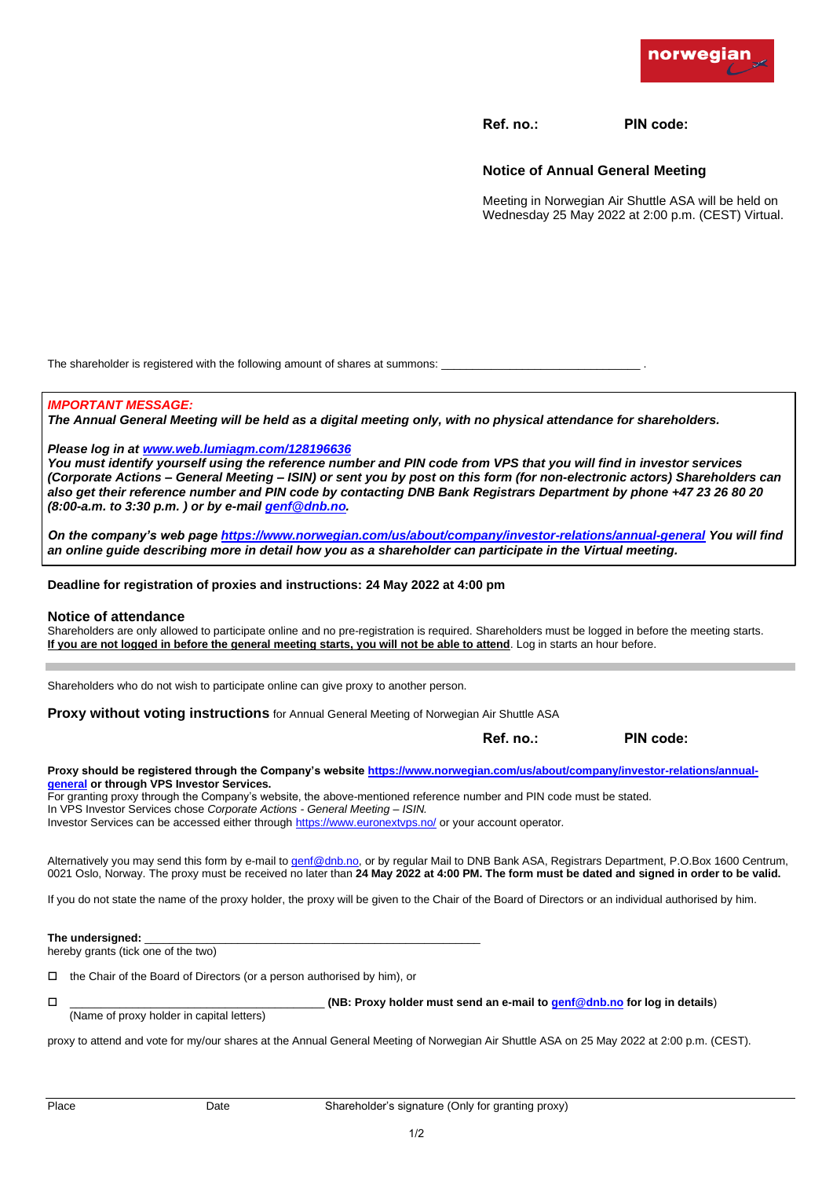

**Ref. no.: PIN code:**

## **Notice of Annual General Meeting**

Meeting in Norwegian Air Shuttle ASA will be held on Wednesday 25 May 2022 at 2:00 p.m. (CEST) Virtual.

The shareholder i[s registered with the following amount of sha](http://www.web.lumiagm.com/128196636)res at summons:

#### *IMPORTANT MESSAGE:*

*The Annual General Meeting will be held as a digital meeting only, with no physical attendance for shareholders.* 

#### *Please log in at www.web.lumiagm.com/128196636*

*You must identify yourself using the reference number and PIN code from VPS that you will find in investor services (Corporate Actions – General Meeting – ISIN) or sent you by post on this form (for non-electronic actors) Shareholders can also get their reference number and PIN code by contacting DNB Bank Registrars Department by phone +47 23 26 80 20 (8:00-a.m. to 3:30 p.m. ) or by e-mai[l genf@dnb.no.](mailto:genf@dnb.no)* 

*On the company's web page<https://www.norwegian.com/us/about/company/investor-relations/annual-general>You will find an online guide describing more in detail how you as a shareholder can participate in the Virtual meeting.* 

**Deadline for registration of proxies and instructions: 24 May 2022 at 4:00 pm**

#### **Notice of attendance**

Shareholders are only allowed to participate online and no pre-registration is required. Shareholders must be logged in before the meeting starts. **If you are not logged in before the general meeting starts, you will not be able to attend**. Log in starts an hour before.

Shareholders who do not wish to participate online can give proxy to another person.

**Proxy without voting instructions** for Annual Genera[l Meeting of Norwegian Air Shuttle ASA](https://www.norwegian.com/us/about/company/investor-relations/annual-general) 

**Ref. no.: PIN code:**

Proxy should be registered through the Company's website https://www.norwegian.com/us/about/company/investor-relations/annual**general or through VPS Investor Services.** 

For granting proxy through the Company's website, the above-mentioned reference number and PIN code must be stated.

In VPS Investor Services chose *Corporate Actions - General Meeting – ISIN.*

Investor Services can be accessed either throug[h https://www.euronextvps.no/](https://www.euronextvps.no/) or your account operator*.*

Alternatively you may send this form by e-mail t[o genf@dnb.no,](mailto:genf@dnb.no) or by regular Mail to DNB Bank ASA, Registrars Department, P.O.Box 1600 Centrum, 0021 Oslo, Norway. The proxy must be received no later than **24 May 2022 at 4:00 PM. The form must be dated and signed in order to be valid.**

If you do not state the name of the proxy holder, the proxy will be given to the Chair of the Board of Directors or an individual authorised by him.

The undersigned:

hereby grants (tick one of the two)

 $\Box$  the Chair of the Board of Directors (or a person authorised by him), or

\_\_\_\_\_\_\_\_\_\_\_\_\_\_\_\_\_\_\_\_\_\_\_\_\_\_\_\_\_\_\_\_\_\_\_\_\_\_\_\_\_ **(NB: Proxy holder must send an e-mail to [genf@dnb.no](mailto:genf@dnb.no) for log in details**)

(Name of proxy holder in capital letters)

proxy to attend and vote for my/our shares at the Annual General Meeting of Norwegian Air Shuttle ASA on 25 May 2022 at 2:00 p.m. (CEST).